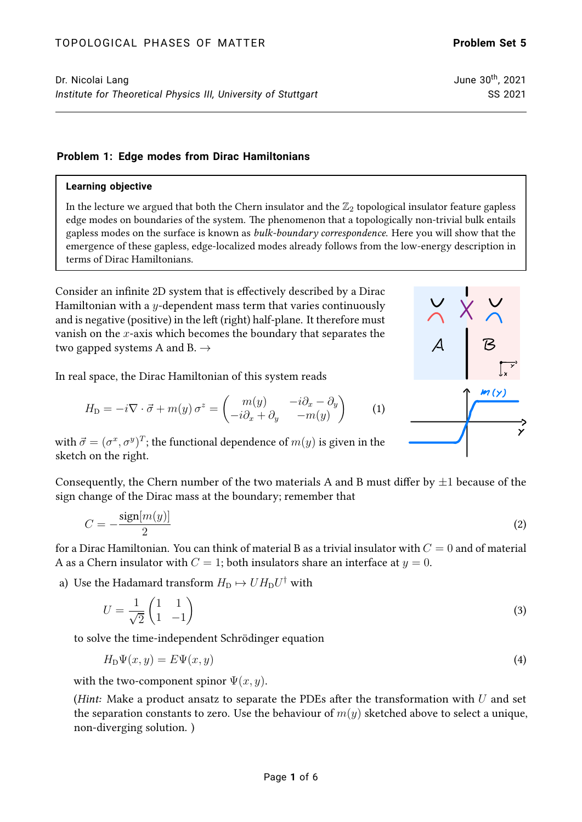## **Problem 1: Edge modes from Dirac Hamiltonians**

### **Learning objective**

In the lecture we argued that both the Chern insulator and the  $\mathbb{Z}_2$  topological insulator feature gapless edge modes on boundaries of the system. The phenomenon that a topologically non-trivial bulk entails gapless modes on the surface is known as *bulk-boundary correspondence*. Here you will show that the emergence of these gapless, edge-localized modes already follows from the low-energy description in terms of Dirac Hamiltonians.

Consider an infinite 2D system that is effectively described by a Dirac Hamiltonian with a  $y$ -dependent mass term that varies continuously and is negative (positive) in the left (right) half-plane. It therefore must vanish on the  $x$ -axis which becomes the boundary that separates the two gapped systems A and B.  $\rightarrow$ 

In real space, the Dirac Hamiltonian of this system reads

$$
H_{\mathcal{D}} = -i\nabla \cdot \vec{\sigma} + m(y)\,\sigma^z = \begin{pmatrix} m(y) & -i\partial_x - \partial_y \\ -i\partial_x + \partial_y & -m(y) \end{pmatrix} \tag{1}
$$

with  $\vec{\sigma} = (\sigma^x, \sigma^y)^T$ ; the functional dependence of  $m(y)$  is given in the sketch on the right.

Consequently, the Chern number of the two materials A and B must differ by  $\pm 1$  because of the sign change of the Dirac mass at the boundary; remember that

$$
C = -\frac{\text{sign}[m(y)]}{2} \tag{2}
$$

for a Dirac Hamiltonian. You can think of material B as a trivial insulator with  $C = 0$  and of material A as a Chern insulator with  $C = 1$ ; both insulators share an interface at  $y = 0$ .

a) Use the Hadamard transform  $H_{\text{D}} \mapsto U H_{\text{D}} U^{\dagger}$  with

$$
U = \frac{1}{\sqrt{2}} \begin{pmatrix} 1 & 1 \\ 1 & -1 \end{pmatrix} \tag{3}
$$

to solve the time-independent Schrödinger equation

$$
H_{\mathcal{D}}\Psi(x,y) = E\Psi(x,y) \tag{4}
$$

with the two-component spinor  $\Psi(x, y)$ .

(Hint: Make a product ansatz to separate the PDEs after the transformation with  $U$  and set the separation constants to zero. Use the behaviour of  $m(y)$  sketched above to select a unique, non-diverging solution. )

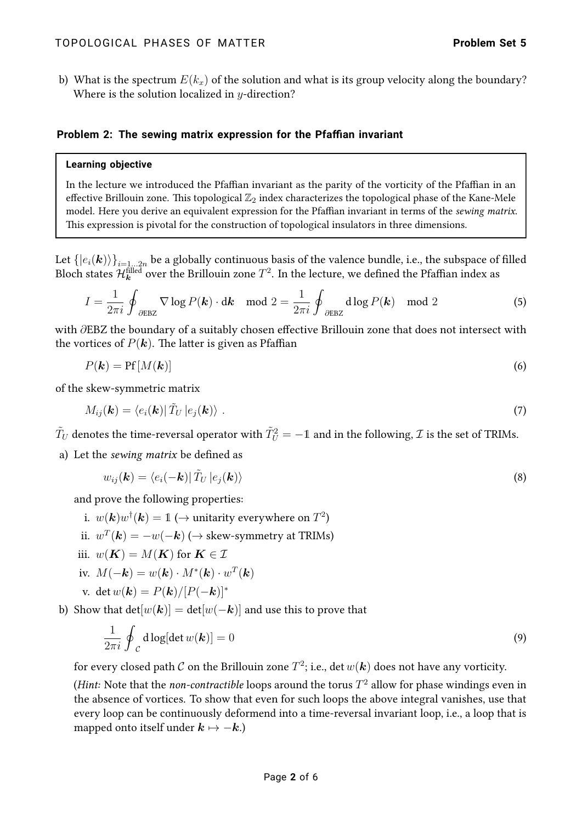b) What is the spectrum  $E(k_x)$  of the solution and what is its group velocity along the boundary? Where is the solution localized in  $y$ -direction?

# **Problem 2: The sewing matrix expression for the Pfaffian invariant**

#### **Learning objective**

In the lecture we introduced the Pfaffian invariant as the parity of the vorticity of the Pfaffian in an effective Brillouin zone. This topological  $\mathbb{Z}_2$  index characterizes the topological phase of the Kane-Mele model. Here you derive an equivalent expression for the Pfaffian invariant in terms of the sewing matrix. This expression is pivotal for the construction of topological insulators in three dimensions.

Let  $\{\ket{e_i(\bm{k})}\}_{i=1...2n}$  be a globally continuous basis of the valence bundle, i.e., the subspace of filled Bloch states  ${\cal H}_{\bm k}^{\rm filled}$  over the Brillouin zone  $T^2.$  In the lecture, we defined the Pfaffian index as

$$
I = \frac{1}{2\pi i} \oint_{\partial E B Z} \nabla \log P(\mathbf{k}) \cdot d\mathbf{k} \mod 2 = \frac{1}{2\pi i} \oint_{\partial E B Z} d \log P(\mathbf{k}) \mod 2 \tag{5}
$$

with ∂EBZ the boundary of a suitably chosen effective Brillouin zone that does not intersect with the vortices of  $P(k)$ . The latter is given as Pfaffian

$$
P(\mathbf{k}) = \text{Pf}[M(\mathbf{k})] \tag{6}
$$

of the skew-symmetric matrix

$$
M_{ij}(\mathbf{k}) = \langle e_i(\mathbf{k}) | \tilde{T}_U | e_j(\mathbf{k}) \rangle \tag{7}
$$

 $\tilde{T}_U$  denotes the time-reversal operator with  $\tilde{T}_U^2=-1$  and in the following,  ${\cal I}$  is the set of TRIMs.

a) Let the sewing matrix be defined as

$$
w_{ij}(\mathbf{k}) = \langle e_i(-\mathbf{k})| \tilde{T}_U | e_j(\mathbf{k}) \rangle \tag{8}
$$

and prove the following properties:

- i.  $w(\boldsymbol{k})w^{\dagger}(\boldsymbol{k})=1$  ( $\rightarrow$  unitarity everywhere on  $T^2)$
- ii.  $w^T(\boldsymbol{k}) = -w(-\boldsymbol{k})$  ( $\rightarrow$  skew-symmetry at TRIMs)
- iii.  $w(K) = M(K)$  for  $K \in \mathcal{I}$
- iv.  $M(-\mathbf{k}) = w(\mathbf{k}) \cdot M^*(\mathbf{k}) \cdot w^T(\mathbf{k})$

v. 
$$
\det w(\mathbf{k}) = P(\mathbf{k})/[P(-\mathbf{k})]^*
$$

b) Show that  $det[w(\mathbf{k})] = det[w(-\mathbf{k})]$  and use this to prove that

$$
\frac{1}{2\pi i} \oint_{\mathcal{C}} d\log[\det w(\mathbf{k})] = 0 \tag{9}
$$

for every closed path  ${\cal C}$  on the Brillouin zone  $T^2$ ; i.e., det  $w(\bm k)$  does not have any vorticity.

(Hint: Note that the *non-contractible* loops around the torus  $T^2$  allow for phase windings even in the absence of vortices. To show that even for such loops the above integral vanishes, use that every loop can be continuously deformend into a time-reversal invariant loop, i.e., a loop that is mapped onto itself under  $k \mapsto -k$ .)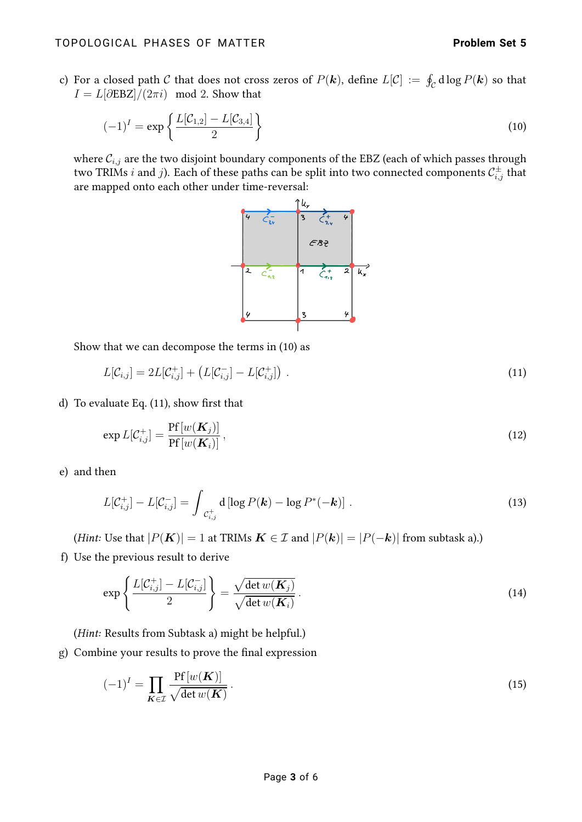c) For a closed path  $\cal C$  that does not cross zeros of  $P(\bm k)$ , define  $L[{\cal C}]$   $:=\ \oint_{\cal C} {\rm d}\log P(\bm k)$  so that  $I = L[\partial \text{EBZ}]/(2\pi i) \mod 2$ . Show that

$$
(-1)^{I} = \exp\left\{\frac{L[\mathcal{C}_{1,2}] - L[\mathcal{C}_{3,4}]}{2}\right\}
$$
\n(10)

where  $\mathcal{C}_{i,j}$  are the two disjoint boundary components of the EBZ (each of which passes through two TRIMs  $i$  and  $j$ ). Each of these paths can be split into two connected components  $\mathcal{C}^\pm_{i,j}$  that are mapped onto each other under time-reversal:

<span id="page-2-1"></span><span id="page-2-0"></span>

Show that we can decompose the terms in [\(10\)](#page-2-0) as

$$
L[\mathcal{C}_{i,j}] = 2L[\mathcal{C}_{i,j}^+] + \left( L[\mathcal{C}_{i,j}^-] - L[\mathcal{C}_{i,j}^+] \right) \,. \tag{11}
$$

d) To evaluate Eq. [\(11\)](#page-2-1), show first that

$$
\exp L[\mathcal{C}_{i,j}^+] = \frac{\Pr[w(\mathbf{K}_j)]}{\Pr[w(\mathbf{K}_i)]},\tag{12}
$$

e) and then

$$
L[\mathcal{C}_{i,j}^+] - L[\mathcal{C}_{i,j}^-] = \int_{\mathcal{C}_{i,j}^+} \mathbf{d} \left[ \log P(\mathbf{k}) - \log P^*(-\mathbf{k}) \right]. \tag{13}
$$

(Hint: Use that  $|P(K)| = 1$  at TRIMs  $K \in \mathcal{I}$  and  $|P(k)| = |P(-k)|$  from subtask a).)

f) Use the previous result to derive

$$
\exp\left\{\frac{L[\mathcal{C}_{i,j}^{+}] - L[\mathcal{C}_{i,j}^{-}]}{2}\right\} = \frac{\sqrt{\det w(\mathbf{K}_{j})}}{\sqrt{\det w(\mathbf{K}_{i})}}.
$$
\n(14)

(Hint: Results from Subtask a) might be helpful.)

g) Combine your results to prove the final expression

<span id="page-2-2"></span>
$$
(-1)^{I} = \prod_{\mathbf{K} \in \mathcal{I}} \frac{\operatorname{Pf}[w(\mathbf{K})]}{\sqrt{\det w(\mathbf{K})}}.
$$
\n(15)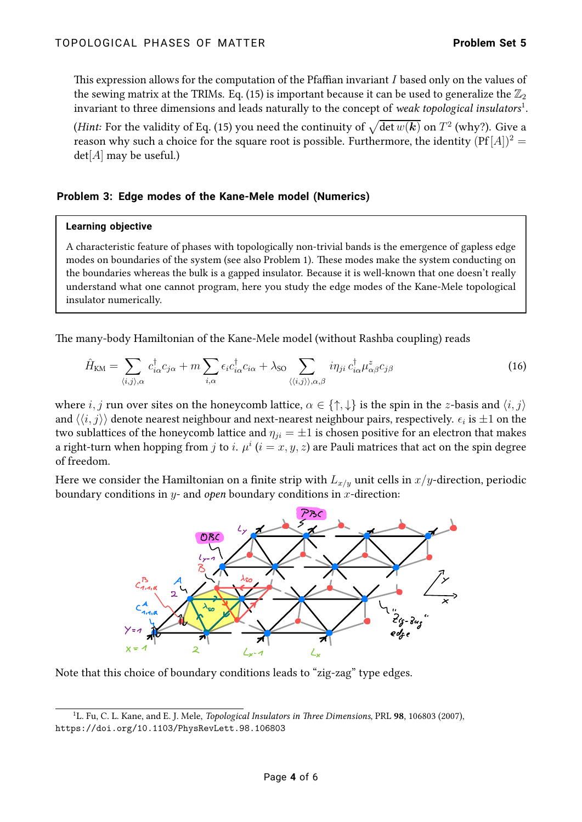This expression allows for the computation of the Pfaffian invariant I based only on the values of the sewing matrix at the TRIMs. Eq. [\(15\)](#page-2-2) is important because it can be used to generalize the  $\mathbb{Z}_2$ invariant to three dimensions and leads naturally to the concept of *weak topological insulators* $^1$  $^1$ .

*(Hint:* For the validity of Eq. [\(15\)](#page-2-2) you need the continuity of  $\sqrt{\det w(\bm{k})}$  on  $T^2$  (why?). Give a reason why such a choice for the square root is possible. Furthermore, the identity  $( Pf [A])^2 =$  $det[A]$  may be useful.)

# **Problem 3: Edge modes of the Kane-Mele model (Numerics)**

### **Learning objective**

A characteristic feature of phases with topologically non-trivial bands is the emergence of gapless edge modes on boundaries of the system (see also Problem 1). These modes make the system conducting on the boundaries whereas the bulk is a gapped insulator. Because it is well-known that one doesn't really understand what one cannot program, here you study the edge modes of the Kane-Mele topological insulator numerically.

The many-body Hamiltonian of the Kane-Mele model (without Rashba coupling) reads

$$
\hat{H}_{\text{KM}} = \sum_{\langle i,j \rangle,\alpha} c_{i\alpha}^{\dagger} c_{j\alpha} + m \sum_{i,\alpha} \epsilon_i c_{i\alpha}^{\dagger} c_{i\alpha} + \lambda_{\text{SO}} \sum_{\langle \langle i,j \rangle \rangle,\alpha,\beta} i \eta_{ji} c_{i\alpha}^{\dagger} \mu_{\alpha\beta}^z c_{j\beta}
$$
(16)

where  $i, j$  run over sites on the honeycomb lattice,  $\alpha \in \{\uparrow, \downarrow\}$  is the spin in the z-basis and  $\langle i, j \rangle$ and  $\langle\langle i,j\rangle\rangle$  denote nearest neighbour and next-nearest neighbour pairs, respectively.  $\epsilon_i$  is  $\pm 1$  on the two sublattices of the honeycomb lattice and  $\eta_{ji} = \pm 1$  is chosen positive for an electron that makes a right-turn when hopping from  $j$  to  $i.$   $\mu^i$   $(i=x,y,z)$  are Pauli matrices that act on the spin degree of freedom.

Here we consider the Hamiltonian on a finite strip with  $L_{x/y}$  unit cells in  $x/y$ -direction, periodic boundary conditions in  $y$ - and *open* boundary conditions in  $x$ -direction:

<span id="page-3-1"></span>

Note that this choice of boundary conditions leads to "zig-zag" type edges.

<span id="page-3-0"></span><sup>&</sup>lt;sup>1</sup>L. Fu, C. L. Kane, and E. J. Mele, *Topological Insulators in Three Dimensions*, PRL 98, 106803 (2007), <https://doi.org/10.1103/PhysRevLett.98.106803>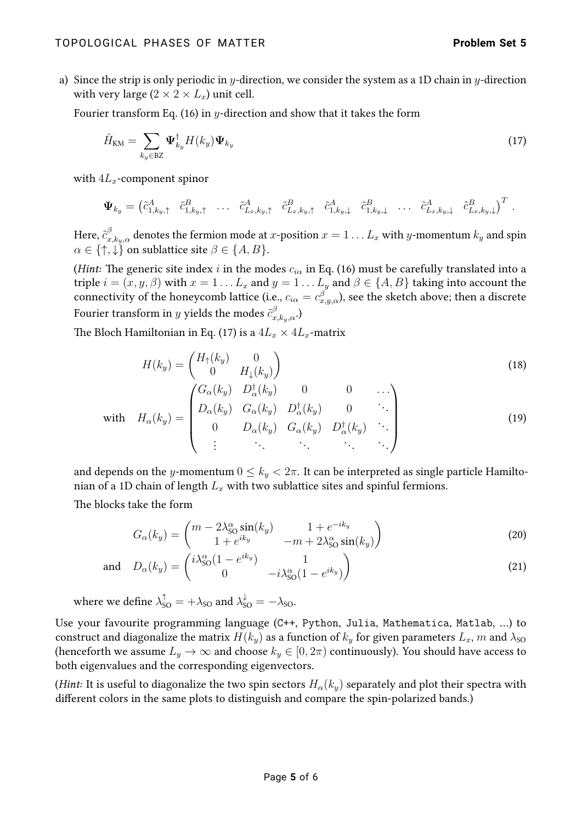a) Since the strip is only periodic in y-direction, we consider the system as a 1D chain in y-direction with very large  $(2 \times 2 \times L_x)$  unit cell.

Fourier transform Eq. [\(16\)](#page-3-1) in y-direction and show that it takes the form

<span id="page-4-0"></span>
$$
\hat{H}_{\text{KM}} = \sum_{k_y \in \text{BZ}} \Psi_{k_y}^{\dagger} H(k_y) \Psi_{k_y}
$$
\n(17)

with  $4L_x$ -component spinor

$$
\mathbf{\Psi}_{k_y} = \begin{pmatrix} \tilde{c}_{1,k_y,\uparrow}^A & \tilde{c}_{1,k_y,\uparrow}^B & \dots & \tilde{c}_{L_x,k_y,\uparrow}^A & \tilde{c}_{L_x,k_y,\uparrow}^B & \tilde{c}_{1,k_y,\downarrow}^A & \tilde{c}_{1,k_y,\downarrow}^B & \dots & \tilde{c}_{L_x,k_y,\downarrow}^A & \tilde{c}_{L_x,k_y,\downarrow}^B \end{pmatrix}^T.
$$

Here,  $\tilde{c}^\beta_{x,k_y,\alpha}$  denotes the fermion mode at  $x$ -position  $x=1\ldots L_x$  with  $y$ -momentum  $k_y$  and spin  $\alpha \in \{\uparrow, \downarrow\}$  on sublattice site  $\beta \in \{A, B\}.$ 

(Hint: The generic site index i in the modes  $c_{i\alpha}$  in Eq. [\(16\)](#page-3-1) must be carefully translated into a triple  $i = (x, y, \beta)$  with  $x = 1... L_x$  and  $y = 1... L_y$  and  $\beta \in \{A, B\}$  taking into account the connectivity of the honeycomb lattice (i.e.,  $c_{i\alpha}=c_{x,y,\alpha}^{\beta}),$  see the sketch above; then a discrete Fourier transform in  $y$  yields the modes  $\tilde{c}_{x, k_{y},\alpha}^{\beta}$ .)

The Bloch Hamiltonian in Eq. [\(17\)](#page-4-0) is a  $4L_x \times 4L_x$ -matrix

$$
H(k_y) = \begin{pmatrix} H_{\uparrow}(k_y) & 0 \\ 0 & H_{\downarrow}(k_y) \end{pmatrix}
$$
\n
$$
\begin{pmatrix} G_{\alpha}(k_y) & D_{\alpha}^{\dagger}(k_y) & 0 & 0 & \cdots \\ D_{\alpha}(k_y) & G_{\alpha}(k_y) & D_{\alpha}^{\dagger}(k_y) & 0 & \cdots \end{pmatrix}
$$
\n
$$
(18)
$$

with 
$$
H_{\alpha}(k_y) = \begin{bmatrix} D_{\alpha}(k_y) & G_{\alpha}(k_y) & D_{\alpha}^{\dagger}(k_y) & 0 & \cdots \\ 0 & D_{\alpha}(k_y) & G_{\alpha}(k_y) & D_{\alpha}^{\dagger}(k_y) & \cdots \\ \vdots & \vdots & \ddots & \vdots & \ddots \end{bmatrix}
$$
 (19)

and depends on the y-momentum  $0 \leq k_y < 2\pi$ . It can be interpreted as single particle Hamiltonian of a 1D chain of length  $L_x$  with two sublattice sites and spinful fermions.

The blocks take the form

$$
G_{\alpha}(k_y) = \begin{pmatrix} m - 2\lambda_{\text{SO}}^{\alpha} \sin(k_y) & 1 + e^{-ik_y} \\ 1 + e^{ik_y} & -m + 2\lambda_{\text{SO}}^{\alpha} \sin(k_y) \end{pmatrix}
$$
 (20)

and 
$$
D_{\alpha}(k_y) = \begin{pmatrix} i\lambda_{\text{SO}}^{\alpha}(1 - e^{ik_y}) & 1\\ 0 & -i\lambda_{\text{SO}}^{\alpha}(1 - e^{ik_y}) \end{pmatrix}
$$
 (21)

where we define  $\lambda_{\mathrm{SO}}^{\uparrow} = +\lambda_{\mathrm{SO}}$  and  $\lambda_{\mathrm{SO}}^{\downarrow} = -\lambda_{\mathrm{SO}}$ .

Use your favourite programming language (C++, Python, Julia, Mathematica, Matlab, …) to construct and diagonalize the matrix  $H(k_y)$  as a function of  $k_y$  for given parameters  $L_x$ , m and  $\lambda_{\text{SO}}$ (henceforth we assume  $L_y \to \infty$  and choose  $k_y \in [0, 2\pi)$  continuously). You should have access to both eigenvalues and the corresponding eigenvectors.

(Hint: It is useful to diagonalize the two spin sectors  $H_{\alpha}(k_y)$  separately and plot their spectra with different colors in the same plots to distinguish and compare the spin-polarized bands.)